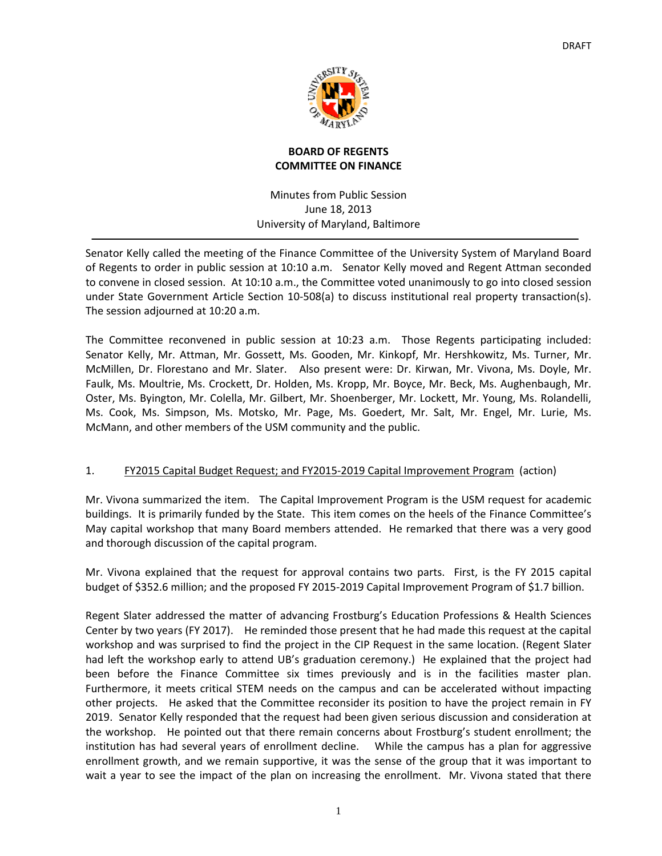

## **BOARD OF REGENTS COMMITTEE ON FINANCE**

Minutes from Public Session June 18, 2013 University of Maryland, Baltimore

Senator Kelly called the meeting of the Finance Committee of the University System of Maryland Board of Regents to order in public session at 10:10 a.m. Senator Kelly moved and Regent Attman seconded to convene in closed session. At 10:10 a.m., the Committee voted unanimously to go into closed session under State Government Article Section 10‐508(a) to discuss institutional real property transaction(s). The session adjourned at 10:20 a.m.

The Committee reconvened in public session at 10:23 a.m. Those Regents participating included: Senator Kelly, Mr. Attman, Mr. Gossett, Ms. Gooden, Mr. Kinkopf, Mr. Hershkowitz, Ms. Turner, Mr. McMillen, Dr. Florestano and Mr. Slater. Also present were: Dr. Kirwan, Mr. Vivona, Ms. Doyle, Mr. Faulk, Ms. Moultrie, Ms. Crockett, Dr. Holden, Ms. Kropp, Mr. Boyce, Mr. Beck, Ms. Aughenbaugh, Mr. Oster, Ms. Byington, Mr. Colella, Mr. Gilbert, Mr. Shoenberger, Mr. Lockett, Mr. Young, Ms. Rolandelli, Ms. Cook, Ms. Simpson, Ms. Motsko, Mr. Page, Ms. Goedert, Mr. Salt, Mr. Engel, Mr. Lurie, Ms. McMann, and other members of the USM community and the public.

#### 1. FY2015 Capital Budget Request; and FY2015-2019 Capital Improvement Program (action)

Mr. Vivona summarized the item. The Capital Improvement Program is the USM request for academic buildings. It is primarily funded by the State. This item comes on the heels of the Finance Committee's May capital workshop that many Board members attended. He remarked that there was a very good and thorough discussion of the capital program.

Mr. Vivona explained that the request for approval contains two parts. First, is the FY 2015 capital budget of \$352.6 million; and the proposed FY 2015‐2019 Capital Improvement Program of \$1.7 billion.

Regent Slater addressed the matter of advancing Frostburg's Education Professions & Health Sciences Center by two years (FY 2017). He reminded those present that he had made this request at the capital workshop and was surprised to find the project in the CIP Request in the same location. (Regent Slater had left the workshop early to attend UB's graduation ceremony.) He explained that the project had been before the Finance Committee six times previously and is in the facilities master plan. Furthermore, it meets critical STEM needs on the campus and can be accelerated without impacting other projects. He asked that the Committee reconsider its position to have the project remain in FY 2019. Senator Kelly responded that the request had been given serious discussion and consideration at the workshop. He pointed out that there remain concerns about Frostburg's student enrollment; the institution has had several years of enrollment decline. While the campus has a plan for aggressive enrollment growth, and we remain supportive, it was the sense of the group that it was important to wait a year to see the impact of the plan on increasing the enrollment. Mr. Vivona stated that there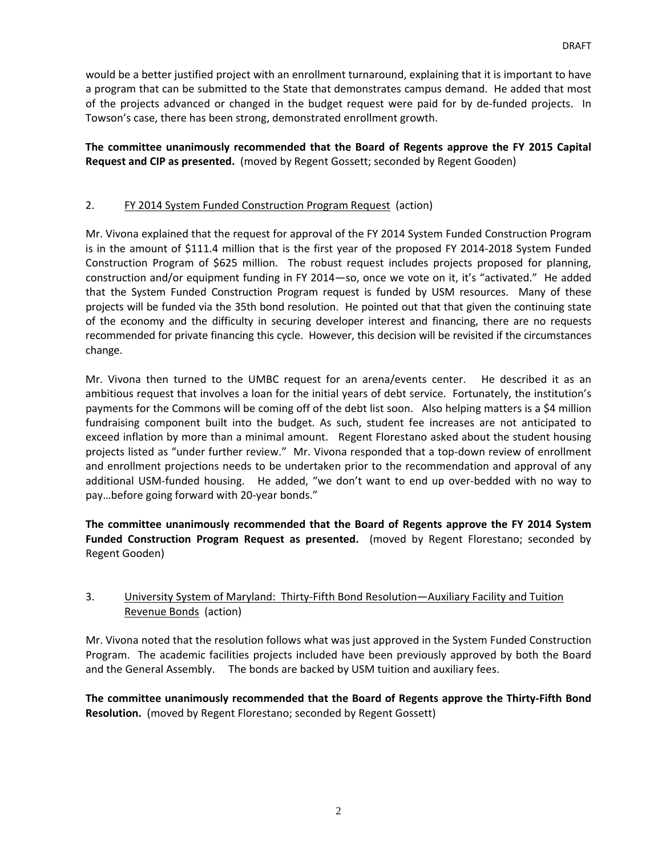would be a better justified project with an enrollment turnaround, explaining that it is important to have a program that can be submitted to the State that demonstrates campus demand. He added that most of the projects advanced or changed in the budget request were paid for by de‐funded projects. In Towson's case, there has been strong, demonstrated enrollment growth.

**The committee unanimously recommended that the Board of Regents approve the FY 2015 Capital Request and CIP as presented.** (moved by Regent Gossett; seconded by Regent Gooden)

#### 2. FY 2014 System Funded Construction Program Request (action)

Mr. Vivona explained that the request for approval of the FY 2014 System Funded Construction Program is in the amount of \$111.4 million that is the first year of the proposed FY 2014‐2018 System Funded Construction Program of \$625 million. The robust request includes projects proposed for planning, construction and/or equipment funding in FY 2014—so, once we vote on it, it's "activated." He added that the System Funded Construction Program request is funded by USM resources. Many of these projects will be funded via the 35th bond resolution. He pointed out that that given the continuing state of the economy and the difficulty in securing developer interest and financing, there are no requests recommended for private financing this cycle. However, this decision will be revisited if the circumstances change.

Mr. Vivona then turned to the UMBC request for an arena/events center. He described it as an ambitious request that involves a loan for the initial years of debt service. Fortunately, the institution's payments for the Commons will be coming off of the debt list soon. Also helping matters is a \$4 million fundraising component built into the budget. As such, student fee increases are not anticipated to exceed inflation by more than a minimal amount. Regent Florestano asked about the student housing projects listed as "under further review." Mr. Vivona responded that a top‐down review of enrollment and enrollment projections needs to be undertaken prior to the recommendation and approval of any additional USM‐funded housing. He added, "we don't want to end up over‐bedded with no way to pay…before going forward with 20‐year bonds."

**The committee unanimously recommended that the Board of Regents approve the FY 2014 System Funded Construction Program Request as presented.** (moved by Regent Florestano; seconded by Regent Gooden)

## 3. University System of Maryland: Thirty‐Fifth Bond Resolution—Auxiliary Facility and Tuition Revenue Bonds (action)

Mr. Vivona noted that the resolution follows what was just approved in the System Funded Construction Program. The academic facilities projects included have been previously approved by both the Board and the General Assembly. The bonds are backed by USM tuition and auxiliary fees.

**The committee unanimously recommended that the Board of Regents approve the Thirty‐Fifth Bond Resolution.** (moved by Regent Florestano; seconded by Regent Gossett)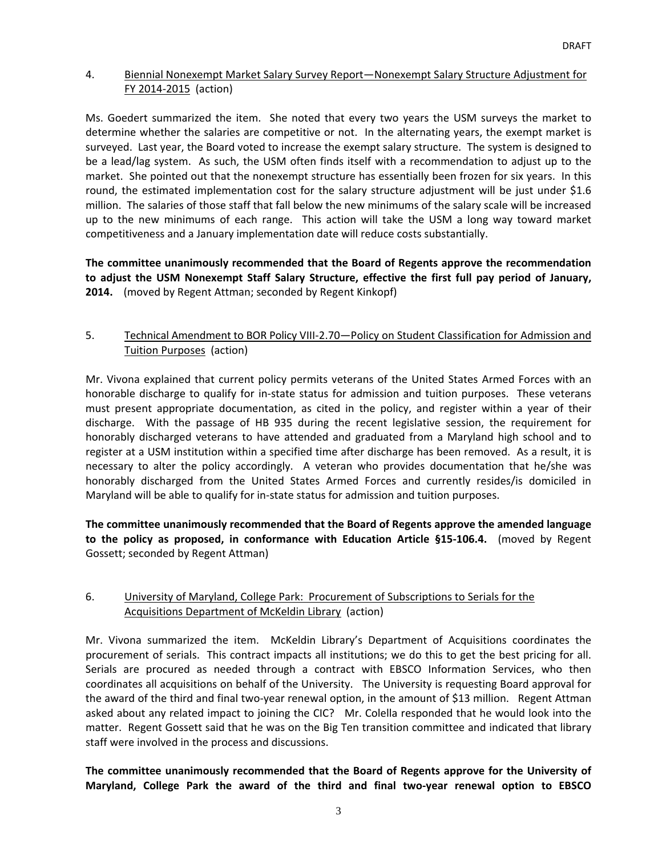#### 4. Biennial Nonexempt Market Salary Survey Report—Nonexempt Salary Structure Adjustment for FY 2014‐2015 (action)

Ms. Goedert summarized the item. She noted that every two years the USM surveys the market to determine whether the salaries are competitive or not. In the alternating years, the exempt market is surveyed. Last year, the Board voted to increase the exempt salary structure. The system is designed to be a lead/lag system. As such, the USM often finds itself with a recommendation to adjust up to the market. She pointed out that the nonexempt structure has essentially been frozen for six years. In this round, the estimated implementation cost for the salary structure adjustment will be just under \$1.6 million. The salaries of those staff that fall below the new minimums of the salary scale will be increased up to the new minimums of each range. This action will take the USM a long way toward market competitiveness and a January implementation date will reduce costs substantially.

**The committee unanimously recommended that the Board of Regents approve the recommendation to adjust the USM Nonexempt Staff Salary Structure, effective the first full pay period of January, 2014.** (moved by Regent Attman; seconded by Regent Kinkopf)

# 5. Technical Amendment to BOR Policy VIII-2.70 – Policy on Student Classification for Admission and Tuition Purposes (action)

Mr. Vivona explained that current policy permits veterans of the United States Armed Forces with an honorable discharge to qualify for in-state status for admission and tuition purposes. These veterans must present appropriate documentation, as cited in the policy, and register within a year of their discharge. With the passage of HB 935 during the recent legislative session, the requirement for honorably discharged veterans to have attended and graduated from a Maryland high school and to register at a USM institution within a specified time after discharge has been removed. As a result, it is necessary to alter the policy accordingly. A veteran who provides documentation that he/she was honorably discharged from the United States Armed Forces and currently resides/is domiciled in Maryland will be able to qualify for in‐state status for admission and tuition purposes.

**The committee unanimously recommended that the Board of Regents approve the amended language to the policy as proposed, in conformance with Education Article §15‐106.4.**  (moved by Regent Gossett; seconded by Regent Attman)

# 6. University of Maryland, College Park: Procurement of Subscriptions to Serials for the Acquisitions Department of McKeldin Library (action)

Mr. Vivona summarized the item. McKeldin Library's Department of Acquisitions coordinates the procurement of serials. This contract impacts all institutions; we do this to get the best pricing for all. Serials are procured as needed through a contract with EBSCO Information Services, who then coordinates all acquisitions on behalf of the University. The University is requesting Board approval for the award of the third and final two‐year renewal option, in the amount of \$13 million. Regent Attman asked about any related impact to joining the CIC? Mr. Colella responded that he would look into the matter. Regent Gossett said that he was on the Big Ten transition committee and indicated that library staff were involved in the process and discussions.

**The committee unanimously recommended that the Board of Regents approve for the University of Maryland, College Park the award of the third and final two‐year renewal option to EBSCO**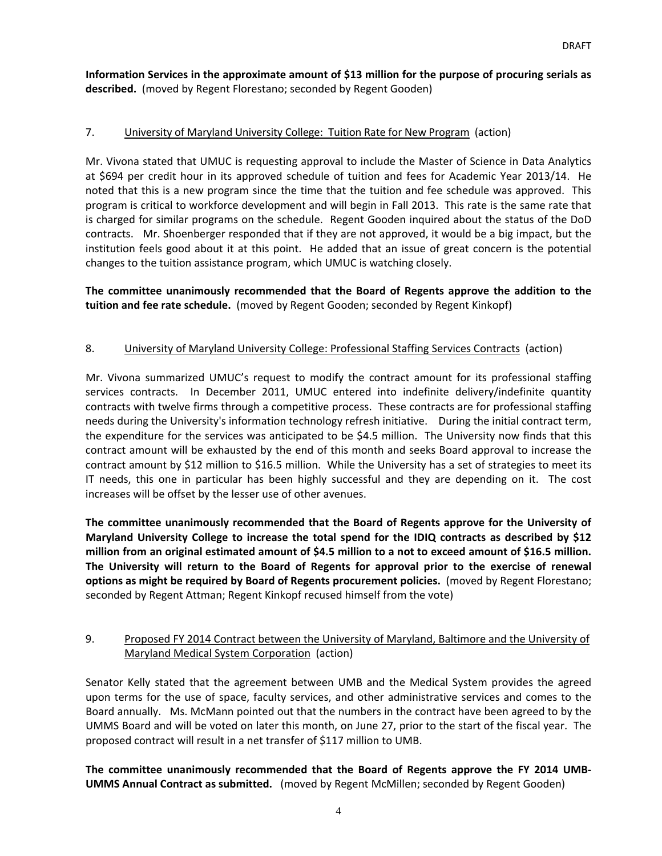**Information Services in the approximate amount of \$13 million for the purpose of procuring serials as** described. (moved by Regent Florestano; seconded by Regent Gooden)

## 7. University of Maryland University College: Tuition Rate for New Program (action)

Mr. Vivona stated that UMUC is requesting approval to include the Master of Science in Data Analytics at \$694 per credit hour in its approved schedule of tuition and fees for Academic Year 2013/14. He noted that this is a new program since the time that the tuition and fee schedule was approved. This program is critical to workforce development and will begin in Fall 2013. This rate is the same rate that is charged for similar programs on the schedule. Regent Gooden inquired about the status of the DoD contracts. Mr. Shoenberger responded that if they are not approved, it would be a big impact, but the institution feels good about it at this point. He added that an issue of great concern is the potential changes to the tuition assistance program, which UMUC is watching closely.

**The committee unanimously recommended that the Board of Regents approve the addition to the tuition and fee rate schedule.** (moved by Regent Gooden; seconded by Regent Kinkopf)

## 8. University of Maryland University College: Professional Staffing Services Contracts (action)

Mr. Vivona summarized UMUC's request to modify the contract amount for its professional staffing services contracts. In December 2011, UMUC entered into indefinite delivery/indefinite quantity contracts with twelve firms through a competitive process. These contracts are for professional staffing needs during the University's information technology refresh initiative. During the initial contract term, the expenditure for the services was anticipated to be \$4.5 million. The University now finds that this contract amount will be exhausted by the end of this month and seeks Board approval to increase the contract amount by \$12 million to \$16.5 million. While the University has a set of strategies to meet its IT needs, this one in particular has been highly successful and they are depending on it. The cost increases will be offset by the lesser use of other avenues.

**The committee unanimously recommended that the Board of Regents approve for the University of Maryland University College to increase the total spend for the IDIQ contracts as described by \$12** million from an original estimated amount of \$4.5 million to a not to exceed amount of \$16.5 million. **The University will return to the Board of Regents for approval prior to the exercise of renewal options as might be required by Board of Regents procurement policies.** (moved by Regent Florestano; seconded by Regent Attman; Regent Kinkopf recused himself from the vote)

# 9. Proposed FY 2014 Contract between the University of Maryland, Baltimore and the University of Maryland Medical System Corporation (action)

Senator Kelly stated that the agreement between UMB and the Medical System provides the agreed upon terms for the use of space, faculty services, and other administrative services and comes to the Board annually. Ms. McMann pointed out that the numbers in the contract have been agreed to by the UMMS Board and will be voted on later this month, on June 27, prior to the start of the fiscal year. The proposed contract will result in a net transfer of \$117 million to UMB.

**The committee unanimously recommended that the Board of Regents approve the FY 2014 UMB‐ UMMS Annual Contract as submitted.** (moved by Regent McMillen; seconded by Regent Gooden)